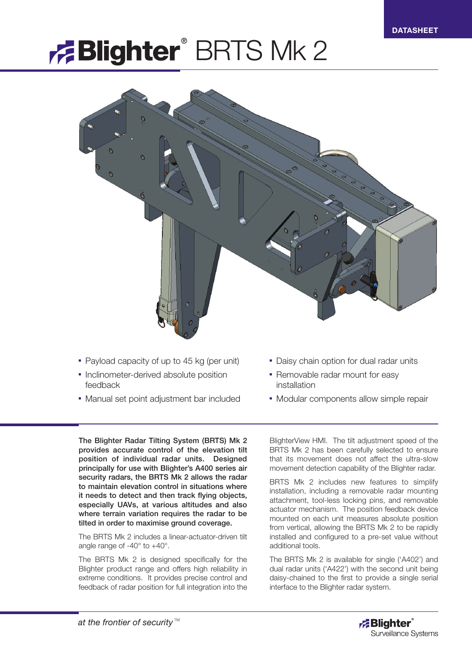# **Blighter** BRTS Mk 2



- Payload capacity of up to 45 kg (per unit)
- Inclinometer-derived absolute position feedback
- Manual set point adjustment bar included
- Daisy chain option for dual radar units
- Removable radar mount for easy installation
- Modular components allow simple repair

The Blighter Radar Tilting System (BRTS) Mk 2 provides accurate control of the elevation tilt position of individual radar units. Designed principally for use with Blighter's A400 series air security radars, the BRTS Mk 2 allows the radar to maintain elevation control in situations where it needs to detect and then track flying objects, especially UAVs, at various altitudes and also where terrain variation requires the radar to be tilted in order to maximise ground coverage.

The BRTS Mk 2 includes a linear-actuator-driven tilt angle range of -40° to +40°.

The BRTS Mk 2 is designed specifically for the Blighter product range and offers high reliability in extreme conditions. It provides precise control and feedback of radar position for full integration into the

BlighterView HMI. The tilt adjustment speed of the BRTS Mk 2 has been carefully selected to ensure that its movement does not affect the ultra-slow movement detection capability of the Blighter radar.

BRTS Mk 2 includes new features to simplify installation, including a removable radar mounting attachment, tool-less locking pins, and removable actuator mechanism. The position feedback device mounted on each unit measures absolute position from vertical, allowing the BRTS Mk 2 to be rapidly installed and configured to a pre-set value without additional tools.

The BRTS Mk 2 is available for single ('A402') and dual radar units ('A422') with the second unit being daisy-chained to the first to provide a single serial interface to the Blighter radar system.